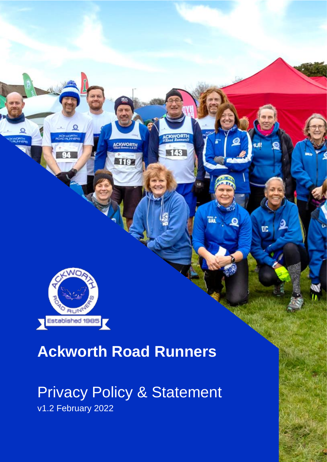

# **Ackworth Road Runners**

ACKWORTH

119

143

**BAL** 

DC

# Privacy Policy & Statement v1.2 February 2022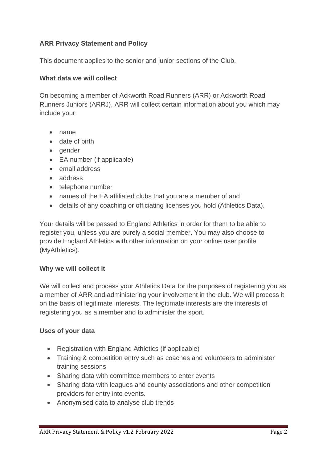## **ARR Privacy Statement and Policy**

This document applies to the senior and junior sections of the Club.

#### **What data we will collect**

On becoming a member of Ackworth Road Runners (ARR) or Ackworth Road Runners Juniors (ARRJ), ARR will collect certain information about you which may include your:

- name
- date of birth
- gender
- EA number (if applicable)
- email address
- address
- telephone number
- names of the EA affiliated clubs that you are a member of and
- details of any coaching or officiating licenses you hold (Athletics Data).

Your details will be passed to England Athletics in order for them to be able to register you, unless you are purely a social member. You may also choose to provide England Athletics with other information on your online user profile (MyAthletics).

#### **Why we will collect it**

We will collect and process your Athletics Data for the purposes of registering you as a member of ARR and administering your involvement in the club. We will process it on the basis of legitimate interests. The legitimate interests are the interests of registering you as a member and to administer the sport.

#### **Uses of your data**

- Registration with England Athletics (if applicable)
- Training & competition entry such as coaches and volunteers to administer training sessions
- Sharing data with committee members to enter events
- Sharing data with leagues and county associations and other competition providers for entry into events.
- Anonymised data to analyse club trends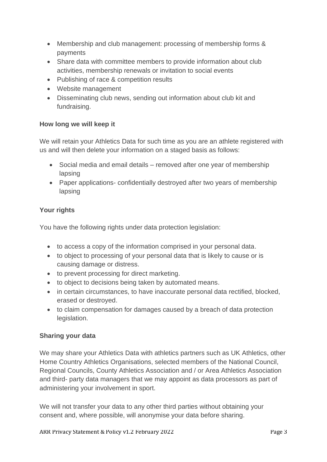- Membership and club management: processing of membership forms & payments
- Share data with committee members to provide information about club activities, membership renewals or invitation to social events
- Publishing of race & competition results
- Website management
- Disseminating club news, sending out information about club kit and fundraising.

## **How long we will keep it**

We will retain your Athletics Data for such time as you are an athlete registered with us and will then delete your information on a staged basis as follows:

- Social media and email details removed after one year of membership lapsing
- Paper applications- confidentially destroyed after two years of membership lapsing

# **Your rights**

You have the following rights under data protection legislation:

- to access a copy of the information comprised in your personal data.
- to object to processing of your personal data that is likely to cause or is causing damage or distress.
- to prevent processing for direct marketing.
- to object to decisions being taken by automated means.
- in certain circumstances, to have inaccurate personal data rectified, blocked, erased or destroyed.
- to claim compensation for damages caused by a breach of data protection legislation.

## **Sharing your data**

We may share your Athletics Data with athletics partners such as UK Athletics, other Home Country Athletics Organisations, selected members of the National Council, Regional Councils, County Athletics Association and / or Area Athletics Association and third- party data managers that we may appoint as data processors as part of administering your involvement in sport.

We will not transfer your data to any other third parties without obtaining your consent and, where possible, will anonymise your data before sharing.